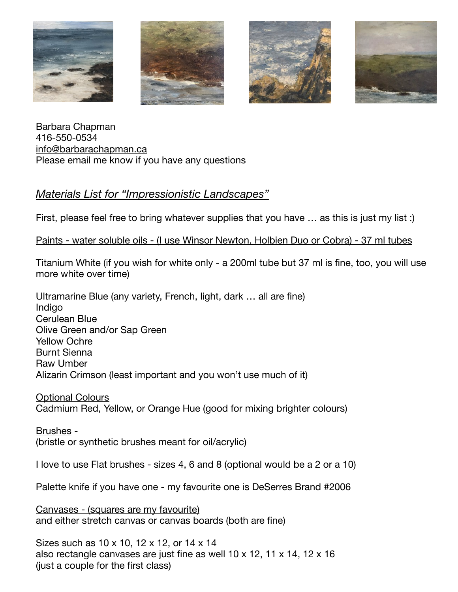







Barbara Chapman 416-550-0534 [info@barbarachapman.ca](mailto:info@barbarachapman.ca) Please email me know if you have any questions

## *Materials List for "Impressionistic Landscapes"*

First, please feel free to bring whatever supplies that you have ... as this is just my list :)

Paints - water soluble oils - (I use Winsor Newton, Holbien Duo or Cobra) - 37 ml tubes

Titanium White (if you wish for white only - a 200ml tube but 37 ml is fine, too, you will use more white over time)

Ultramarine Blue (any variety, French, light, dark … all are fine) Indigo Cerulean Blue Olive Green and/or Sap Green Yellow Ochre Burnt Sienna Raw Umber Alizarin Crimson (least important and you won't use much of it)

Optional Colours Cadmium Red, Yellow, or Orange Hue (good for mixing brighter colours)

Brushes - (bristle or synthetic brushes meant for oil/acrylic)

I love to use Flat brushes - sizes 4, 6 and 8 (optional would be a 2 or a 10)

Palette knife if you have one - my favourite one is DeSerres Brand #2006

Canvases - (squares are my favourite) and either stretch canvas or canvas boards (both are fine)

Sizes such as 10 x 10, 12 x 12, or 14 x 14 also rectangle canvases are just fine as well 10 x 12, 11 x 14, 12 x 16 (just a couple for the first class)